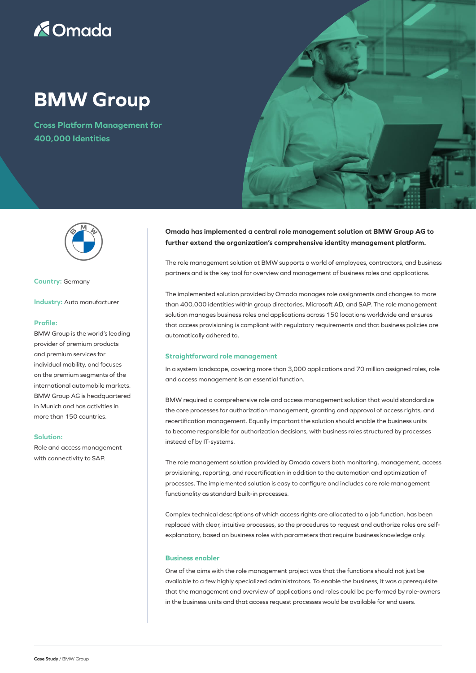# **X**Omada

## **BMW Group**

**Cross Platform Management for 400,000 Identities**





**Country:** Germany

**Industry:** Auto manufacturer

## **Profile:**

BMW Group is the world's leading provider of premium products and premium services for individual mobility, and focuses on the premium segments of the international automobile markets. BMW Group AG is headquartered in Munich and has activities in more than 150 countries.

### **Solution:**

Role and access management with connectivity to SAP.

## **Omada has implemented a central role management solution at BMW Group AG to further extend the organization's comprehensive identity management platform.**

The role management solution at BMW supports a world of employees, contractors, and business partners and is the key tool for overview and management of business roles and applications.

The implemented solution provided by Omada manages role assignments and changes to more than 400,000 identities within group directories, Microsoft AD, and SAP. The role management solution manages business roles and applications across 150 locations worldwide and ensures that access provisioning is compliant with regulatory requirements and that business policies are automatically adhered to.

#### **Straightforward role management**

In a system landscape, covering more than 3,000 applications and 70 million assigned roles, role and access management is an essential function.

BMW required a comprehensive role and access management solution that would standardize the core processes for authorization management, granting and approval of access rights, and recertification management. Equally important the solution should enable the business units to become responsible for authorization decisions, with business roles structured by processes instead of by IT-systems.

The role management solution provided by Omada covers both monitoring, management, access provisioning, reporting, and recertification in addition to the automation and optimization of processes. The implemented solution is easy to configure and includes core role management functionality as standard built-in processes.

Complex technical descriptions of which access rights are allocated to a job function, has been replaced with clear, intuitive processes, so the procedures to request and authorize roles are selfexplanatory, based on business roles with parameters that require business knowledge only.

## **Business enabler**

One of the aims with the role management project was that the functions should not just be available to a few highly specialized administrators. To enable the business, it was a prerequisite that the management and overview of applications and roles could be performed by role-owners in the business units and that access request processes would be available for end users.